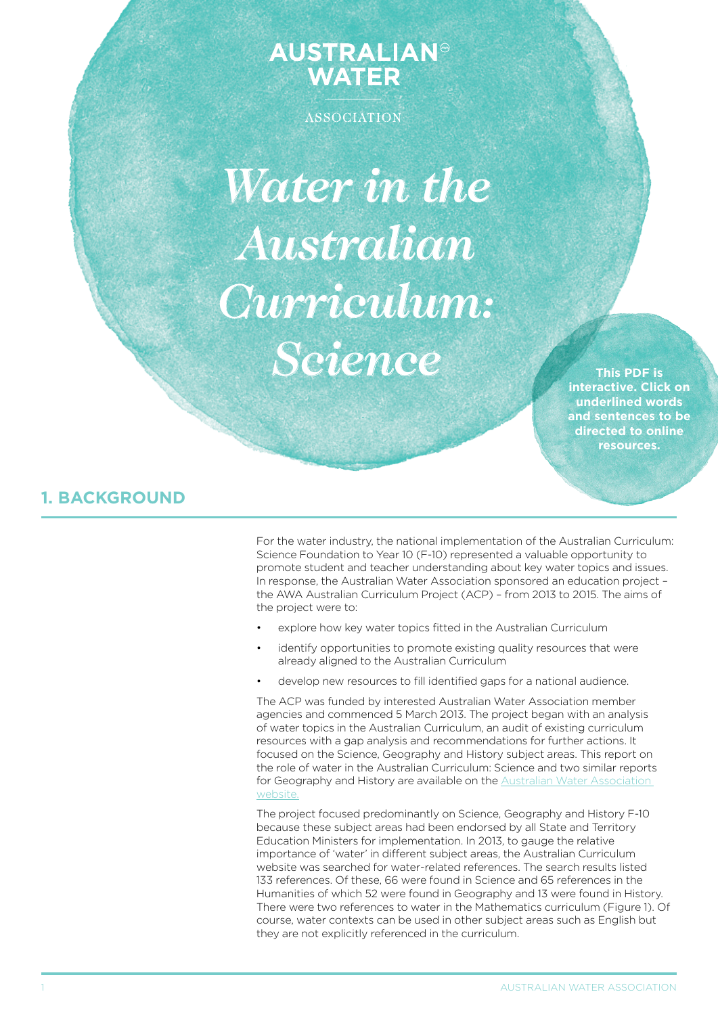# **AUSTRALIAN<sup>®</sup>**<br>WATER

ASSOCIATION

*Water in the Australian Curriculum: Science*

**This PDF is interactive. Click on underlined words and sentences to be directed to online resources.**

# **1. BACKGROUND**

For the water industry, the national implementation of the Australian Curriculum: Science Foundation to Year 10 (F-10) represented a valuable opportunity to promote student and teacher understanding about key water topics and issues. In response, the Australian Water Association sponsored an education project – the AWA Australian Curriculum Project (ACP) – from 2013 to 2015. The aims of the project were to:

- explore how key water topics fitted in the Australian Curriculum
- identify opportunities to promote existing quality resources that were already aligned to the Australian Curriculum
- develop new resources to fill identified gaps for a national audience.

The ACP was funded by interested Australian Water Association member agencies and commenced 5 March 2013. The project began with an analysis of water topics in the Australian Curriculum, an audit of existing curriculum resources with a gap analysis and recommendations for further actions. It focused on the Science, Geography and History subject areas. This report on the role of water in the Australian Curriculum: Science and two similar reports for Geography and History are available on the [Australian Water Association](http://www.awa.asn.au/AWA_MBRR/Publications/Teacher_Resources/AWA_MBRR/Publications/Teacher_Resources/Teacher_Resources.aspx)  [website](http://www.awa.asn.au/AWA_MBRR/Publications/Teacher_Resources/AWA_MBRR/Publications/Teacher_Resources/Teacher_Resources.aspx).

The project focused predominantly on Science, Geography and History F-10 because these subject areas had been endorsed by all State and Territory Education Ministers for implementation. In 2013, to gauge the relative importance of 'water' in different subject areas, the Australian Curriculum website was searched for water-related references. The search results listed 133 references. Of these, 66 were found in Science and 65 references in the Humanities of which 52 were found in Geography and 13 were found in History. There were two references to water in the Mathematics curriculum (Figure 1). Of course, water contexts can be used in other subject areas such as English but they are not explicitly referenced in the curriculum.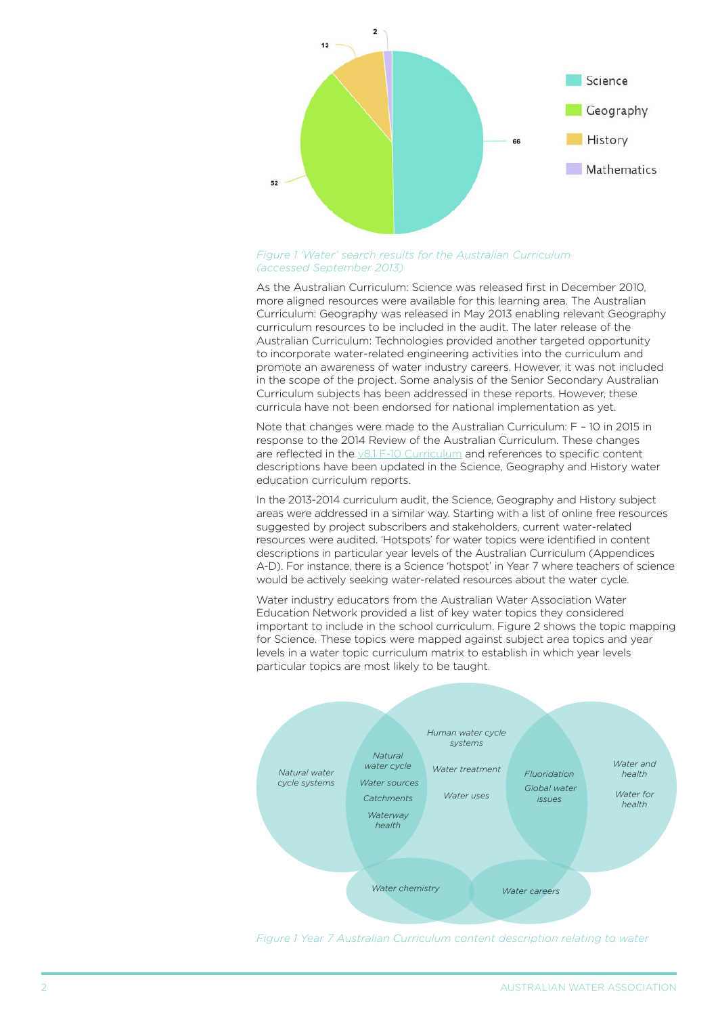

#### *[Figure 1](http://www.australiancurriculum.edu.au/science/curriculum/f-10?layout=1#level7) 'Water' search results for the Australian Curriculum (accessed September 2013)*

As the Australian Curriculum: Science was released first in December 2010, more aligned resources were available for this learning area. The Australian Curriculum: Geography was released in May 2013 enabling relevant Geography curriculum resources to be included in the audit. The later release of the Australian Curriculum: Technologies provided another targeted opportunity to incorporate water-related engineering activities into the curriculum and promote an awareness of water industry careers. However, it was not included in the scope of the project. Some analysis of the Senior Secondary Australian Curriculum subjects has been addressed in these reports. However, these curricula have not been endorsed for national implementation as yet.

Note that changes were made to the Australian Curriculum: F – 10 in 2015 in response to the 2014 Review of the Australian Curriculum. These changes are reflected in the [v8.1 F-10 Curriculum](www.australiancurriculum.edu.au) and references to specific content descriptions have been updated in the Science, Geography and History water education curriculum reports.

In the 2013-2014 curriculum audit, the Science, Geography and History subject areas were addressed in a similar way. Starting with a list of online free resources suggested by project subscribers and stakeholders, current water-related resources were audited. 'Hotspots' for water topics were identified in content descriptions in particular year levels of the Australian Curriculum (Appendices A-D). For instance, there is a Science 'hotspot' in Year 7 where teachers of science would be actively seeking water-related resources about the water cycle.

Water industry educators from the Australian Water Association Water Education Network provided a list of key water topics they considered important to include in the school curriculum. Figure 2 shows the topic mapping for Science. These topics were mapped against subject area topics and year levels in a water topic curriculum matrix to establish in which year levels particular topics are most likely to be taught.



*[Figure 1 Year 7 Australian Curriculum content description relating to water](http://www.australiancurriculum.edu.au/science/curriculum/f-10?layout=1#level7)*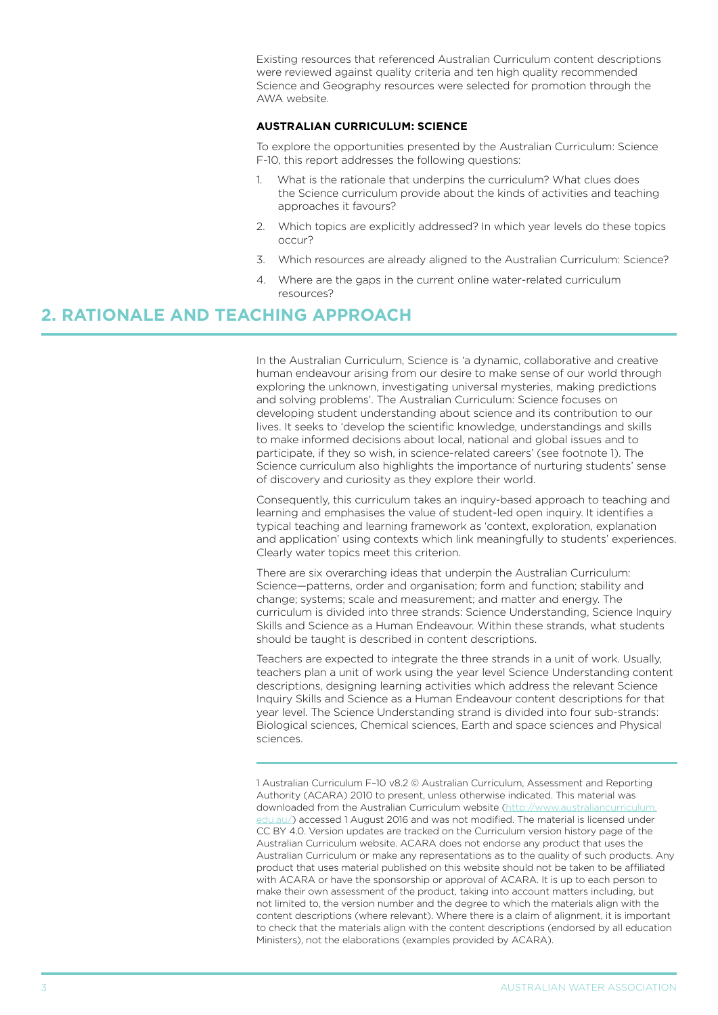Existing resources that referenced Australian Curriculum content descriptions were reviewed against quality criteria and ten high quality recommended Science and Geography resources were selected for promotion through the AWA website.

#### **AUSTRALIAN CURRICULUM: SCIENCE**

To explore the opportunities presented by the Australian Curriculum: Science F-10, this report addresses the following questions:

- What is the rationale that underpins the curriculum? What clues does the Science curriculum provide about the kinds of activities and teaching approaches it favours?
- 2. Which topics are explicitly addressed? In which year levels do these topics occur?
- 3. Which resources are already aligned to the Australian Curriculum: Science?
- 4. Where are the gaps in the current online water-related curriculum resources?

## **2. RATIONALE AND TEACHING APPROACH**

In the Australian Curriculum, Science is 'a dynamic, collaborative and creative human endeavour arising from our desire to make sense of our world through exploring the unknown, investigating universal mysteries, making predictions and solving problems'. The Australian Curriculum: Science focuses on developing student understanding about science and its contribution to our lives. It seeks to 'develop the scientific knowledge, understandings and skills to make informed decisions about local, national and global issues and to participate, if they so wish, in science-related careers' (see footnote 1). The Science curriculum also highlights the importance of nurturing students' sense of discovery and curiosity as they explore their world.

Consequently, this curriculum takes an inquiry-based approach to teaching and learning and emphasises the value of student-led open inquiry. It identifies a typical teaching and learning framework as 'context, exploration, explanation and application' using contexts which link meaningfully to students' experiences. Clearly water topics meet this criterion.

There are six overarching ideas that underpin the Australian Curriculum: Science—patterns, order and organisation; form and function; stability and change; systems; scale and measurement; and matter and energy. The curriculum is divided into three strands: Science Understanding, Science Inquiry Skills and Science as a Human Endeavour. Within these strands, what students should be taught is described in content descriptions.

Teachers are expected to integrate the three strands in a unit of work. Usually, teachers plan a unit of work using the year level Science Understanding content descriptions, designing learning activities which address the relevant Science Inquiry Skills and Science as a Human Endeavour content descriptions for that year level. The Science Understanding strand is divided into four sub-strands: Biological sciences, Chemical sciences, Earth and space sciences and Physical sciences.

1 Australian Curriculum F–10 v8.2 © Australian Curriculum, Assessment and Reporting Authority (ACARA) 2010 to present, unless otherwise indicated. This material was downloaded from the Australian Curriculum website ([http://www.australiancurriculum.](http://www.australiancurriculum.edu.au/) [edu.au/](http://www.australiancurriculum.edu.au/)) accessed 1 August 2016 and was not modified. The material is licensed under CC BY 4.0. Version updates are tracked on the Curriculum version history page of the Australian Curriculum website. ACARA does not endorse any product that uses the Australian Curriculum or make any representations as to the quality of such products. Any product that uses material published on this website should not be taken to be affiliated with ACARA or have the sponsorship or approval of ACARA. It is up to each person to make their own assessment of the product, taking into account matters including, but not limited to, the version number and the degree to which the materials align with the content descriptions (where relevant). Where there is a claim of alignment, it is important to check that the materials align with the content descriptions (endorsed by all education Ministers), not the elaborations (examples provided by ACARA).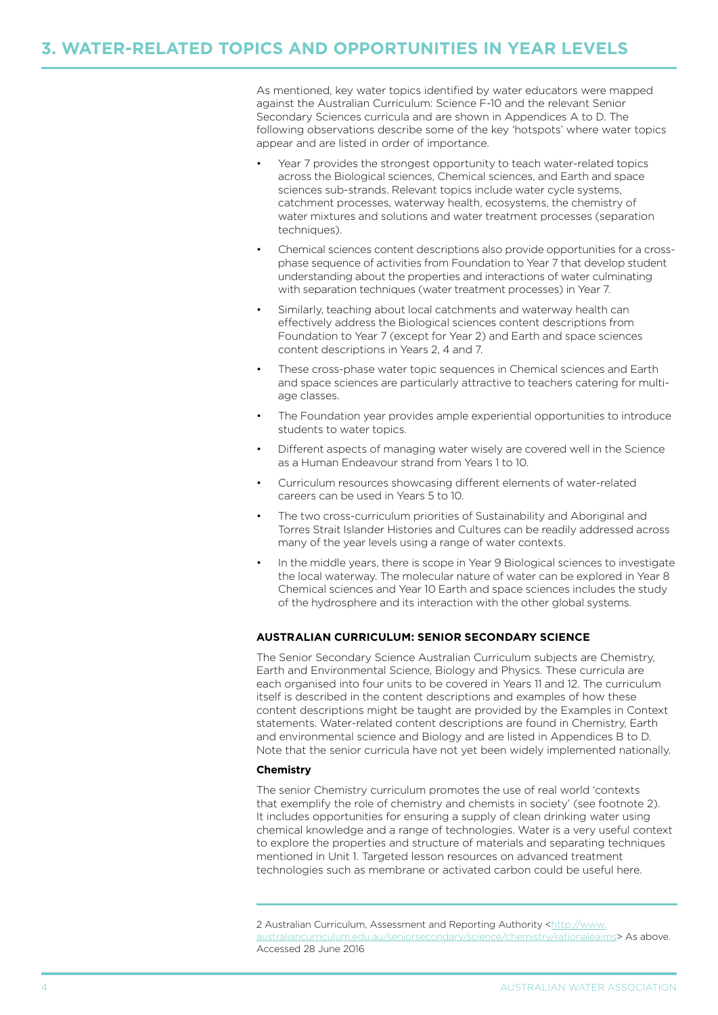## **3. WATER-RELATED TOPICS AND OPPORTUNITIES IN YEAR LEVELS**

As mentioned, key water topics identified by water educators were mapped against the Australian Curriculum: Science F-10 and the relevant Senior Secondary Sciences curricula and are shown in Appendices A to D. The following observations describe some of the key 'hotspots' where water topics appear and are listed in order of importance.

- Year 7 provides the strongest opportunity to teach water-related topics across the Biological sciences, Chemical sciences, and Earth and space sciences sub-strands. Relevant topics include water cycle systems, catchment processes, waterway health, ecosystems, the chemistry of water mixtures and solutions and water treatment processes (separation techniques).
- Chemical sciences content descriptions also provide opportunities for a crossphase sequence of activities from Foundation to Year 7 that develop student understanding about the properties and interactions of water culminating with separation techniques (water treatment processes) in Year 7.
- Similarly, teaching about local catchments and waterway health can effectively address the Biological sciences content descriptions from Foundation to Year 7 (except for Year 2) and Earth and space sciences content descriptions in Years 2, 4 and 7.
- These cross-phase water topic sequences in Chemical sciences and Earth and space sciences are particularly attractive to teachers catering for multiage classes.
- The Foundation year provides ample experiential opportunities to introduce students to water topics.
- Different aspects of managing water wisely are covered well in the Science as a Human Endeavour strand from Years 1 to 10.
- Curriculum resources showcasing different elements of water-related careers can be used in Years 5 to 10.
- The two cross-curriculum priorities of Sustainability and Aboriginal and Torres Strait Islander Histories and Cultures can be readily addressed across many of the year levels using a range of water contexts.
- In the middle years, there is scope in Year 9 Biological sciences to investigate the local waterway. The molecular nature of water can be explored in Year 8 Chemical sciences and Year 10 Earth and space sciences includes the study of the hydrosphere and its interaction with the other global systems.

#### **AUSTRALIAN CURRICULUM: SENIOR SECONDARY SCIENCE**

The Senior Secondary Science Australian Curriculum subjects are Chemistry, Earth and Environmental Science, Biology and Physics. These curricula are each organised into four units to be covered in Years 11 and 12. The curriculum itself is described in the content descriptions and examples of how these content descriptions might be taught are provided by the Examples in Context statements. Water-related content descriptions are found in Chemistry, Earth and environmental science and Biology and are listed in Appendices B to D. Note that the senior curricula have not yet been widely implemented nationally.

#### **Chemistry**

The senior Chemistry curriculum promotes the use of real world 'contexts that exemplify the role of chemistry and chemists in society' (see footnote 2). It includes opportunities for ensuring a supply of clean drinking water using chemical knowledge and a range of technologies. Water is a very useful context to explore the properties and structure of materials and separating techniques mentioned in Unit 1. Targeted lesson resources on advanced treatment technologies such as membrane or activated carbon could be useful here.

<sup>2</sup> Australian Curriculum, Assessment and Reporting Authority [<http://www.](http://www.australiancurriculum.edu.au/seniorsecondary/science/chemistry/rationaleaims) [australiancurriculum.edu.au/seniorsecondary/science/chemistry/rationaleaims](http://www.australiancurriculum.edu.au/seniorsecondary/science/chemistry/rationaleaims)> As above. Accessed 28 June 2016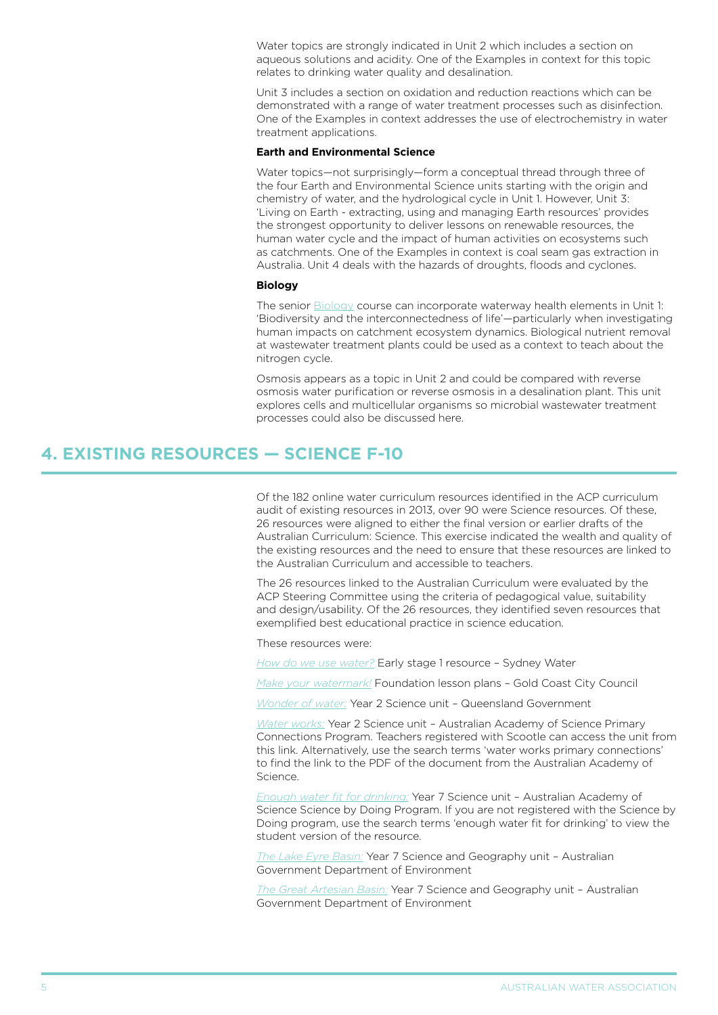Water topics are strongly indicated in Unit 2 which includes a section on aqueous solutions and acidity. One of the Examples in context for this topic relates to drinking water quality and desalination.

Unit 3 includes a section on oxidation and reduction reactions which can be demonstrated with a range of water treatment processes such as disinfection. One of the Examples in context addresses the use of electrochemistry in water treatment applications.

#### **Earth and Environmental Science**

Water topics—not surprisingly—form a conceptual thread through three of the four Earth and Environmental Science units starting with the origin and chemistry of water, and the hydrological cycle in Unit 1. However, Unit 3: 'Living on Earth - extracting, using and managing Earth resources' provides the strongest opportunity to deliver lessons on renewable resources, the human water cycle and the impact of human activities on ecosystems such as catchments. One of the Examples in context is coal seam gas extraction in Australia. Unit 4 deals with the hazards of droughts, floods and cyclones.

#### **Biology**

The senior **Biology** course can incorporate waterway health elements in Unit 1: 'Biodiversity and the interconnectedness of life'—particularly when investigating human impacts on catchment ecosystem dynamics. Biological nutrient removal at wastewater treatment plants could be used as a context to teach about the nitrogen cycle.

Osmosis appears as a topic in Unit 2 and could be compared with reverse osmosis water purification or reverse osmosis in a desalination plant. This unit explores cells and multicellular organisms so microbial wastewater treatment processes could also be discussed here.

### **4. EXISTING RESOURCES — SCIENCE F-10**

Of the 182 online water curriculum resources identified in the ACP curriculum audit of existing resources in 2013, over 90 were Science resources. Of these, 26 resources were aligned to either the final version or earlier drafts of the Australian Curriculum: Science. This exercise indicated the wealth and quality of the existing resources and the need to ensure that these resources are linked to the Australian Curriculum and accessible to teachers.

The 26 resources linked to the Australian Curriculum were evaluated by the ACP Steering Committee using the criteria of pedagogical value, suitability and design/usability. Of the 26 resources, they identified seven resources that exemplified best educational practice in science education.

These resources were:

*[How do we use water?](http://www.sydneywater.com.au/SW/education/Programsresources/Primaryschool/index.htm)* Early stage 1 resource – Sydney Water

*[Make your watermark!](http://www.goldcoast.qld.gov.au/make-your-water-mark-watersaver-primary-school-program-12659.html)* Foundation lesson plans – Gold Coast City Council

*[Wonder of water:](https://publications.qld.gov.au/dataset/waterwise-education-resources/resource/44e02f7f-3a91-4c27-aa93-7bab7f491a8b)* Year 2 Science unit – Queensland Government

*[Water works:](http://www.scootle.edu.au/ec/viewing/S7170/Water-works-2012/resources/water_works_comp.pdf)* Year 2 Science unit – Australian Academy of Science Primary Connections Program. Teachers registered with Scootle can access the unit from this link. Alternatively, use the search terms 'water works primary connections' to find the link to the PDF of the document from the Australian Academy of Science.

*[Enough water fit for drinking:](https://www.sciencebydoing.edu.au/curriculum/student/yr7/water/digital/)* Year 7 Science unit – Australian Academy of Science Science by Doing Program. If you are not registered with the Science by Doing program, use the search terms 'enough water fit for drinking' to view the student version of the resource.

*[The Lake Eyre Basin:](http://www.environment.gov.au/water/education/publications/lake-eyre-basin-unique-river-system-worth-maintaining-teacher-guide-and-lesson-plans)* Year 7 Science and Geography unit – Australian Government Department of Environment

*[The Great Artesian Basin:](http://www.environment.gov.au/water/education/publications/great-artesian-basinwater-dry-interior-teacher-guide-and-lesson-plans)* Year 7 Science and Geography unit – Australian Government Department of Environment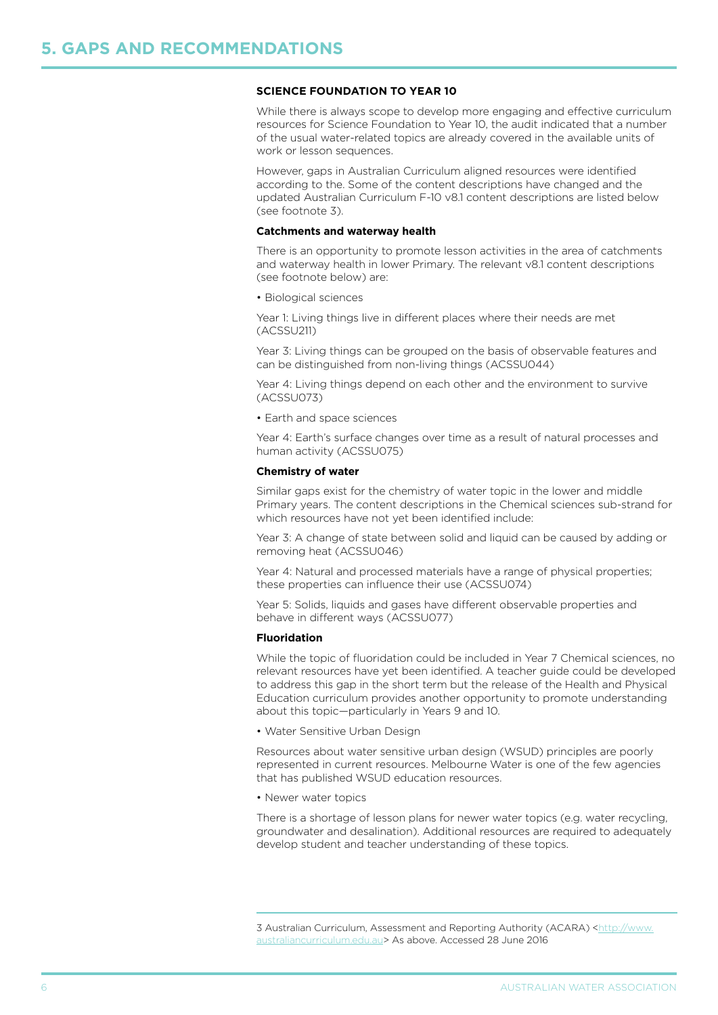#### **SCIENCE foundation to year 10**

While there is always scope to develop more engaging and effective curriculum resources for Science Foundation to Year 10, the audit indicated that a number of the usual water-related topics are already covered in the available units of work or lesson sequences.

However, gaps in Australian Curriculum aligned resources were identified according to the. Some of the content descriptions have changed and the updated Australian Curriculum F-10 v8.1 content descriptions are listed below (see footnote 3).

#### **Catchments and waterway health**

There is an opportunity to promote lesson activities in the area of catchments and waterway health in lower Primary. The relevant v8.1 content descriptions (see footnote below) are:

• Biological sciences

Year 1: Living things live in different places where their needs are met (ACSSU211)

Year 3: Living things can be grouped on the basis of observable features and can be distinguished from non-living things (ACSSU044)

Year 4: Living things depend on each other and the environment to survive (ACSSU073)

• Earth and space sciences

Year 4: Earth's surface changes over time as a result of natural processes and human activity (ACSSU075)

#### **Chemistry of water**

Similar gaps exist for the chemistry of water topic in the lower and middle Primary years. The content descriptions in the Chemical sciences sub-strand for which resources have not yet been identified include:

Year 3: A change of state between solid and liquid can be caused by adding or removing heat (ACSSU046)

Year 4: Natural and processed materials have a range of physical properties; these properties can influence their use (ACSSU074)

Year 5: Solids, liquids and gases have different observable properties and behave in different ways (ACSSU077)

#### **Fluoridation**

While the topic of fluoridation could be included in Year 7 Chemical sciences, no relevant resources have yet been identified. A teacher guide could be developed to address this gap in the short term but the release of the Health and Physical Education curriculum provides another opportunity to promote understanding about this topic—particularly in Years 9 and 10.

• Water Sensitive Urban Design

Resources about water sensitive urban design (WSUD) principles are poorly represented in current resources. Melbourne Water is one of the few agencies that has published WSUD education resources.

• Newer water topics

There is a shortage of lesson plans for newer water topics (e.g. water recycling, groundwater and desalination). Additional resources are required to adequately develop student and teacher understanding of these topics.

<sup>3</sup> Australian Curriculum, Assessment and Reporting Authority (ACARA) [<http://www.](http://www.australiancurriculum.edu.au/seniorsecondary/science/chemistry/rationaleaims) [australiancurriculum.edu.au>](http://www.australiancurriculum.edu.au/seniorsecondary/science/chemistry/rationaleaims) As above. Accessed 28 June 2016